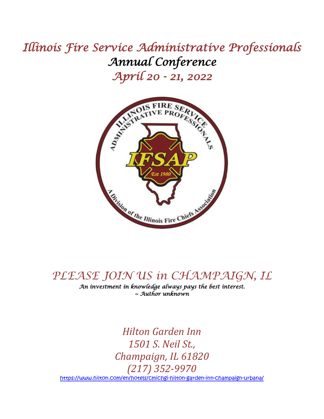# *Illinois Fire Service Administrative Professionals Annual Conference April 20 - 21, 2022*



## *PLEASE JOIN US in CHAMPAIGN, IL*

*An investment in knowledge always pays the best interest. ~ Author unknown* 

*Hilton Garden Inn 1501 S. Neil St., Champaign, IL 61820 (217) 352-9970* <https://www.hilton.com/en/hotels/cmichgi-hilton-garden-inn-champaign-urbana/>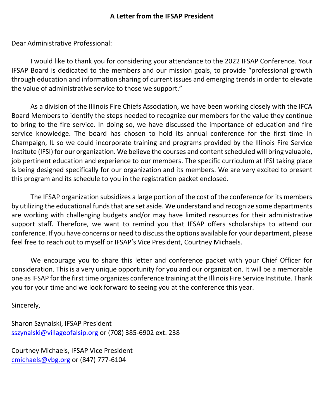## **A Letter from the IFSAP President**

Dear Administrative Professional:

I would like to thank you for considering your attendance to the 2022 IFSAP Conference. Your IFSAP Board is dedicated to the members and our mission goals, to provide "professional growth through education and information sharing of current issues and emerging trends in order to elevate the value of administrative service to those we support."

As a division of the Illinois Fire Chiefs Association, we have been working closely with the IFCA Board Members to identify the steps needed to recognize our members for the value they continue to bring to the fire service. In doing so, we have discussed the importance of education and fire service knowledge. The board has chosen to hold its annual conference for the first time in Champaign, IL so we could incorporate training and programs provided by the Illinois Fire Service Institute (IFSI) for our organization. We believe the courses and content scheduled will bring valuable, job pertinent education and experience to our members. The specific curriculum at IFSI taking place is being designed specifically for our organization and its members. We are very excited to present this program and its schedule to you in the registration packet enclosed.

The IFSAP organization subsidizes a large portion of the cost of the conference for its members by utilizing the educational funds that are set aside. We understand and recognize some departments are working with challenging budgets and/or may have limited resources for their administrative support staff. Therefore, we want to remind you that IFSAP offers scholarships to attend our conference. If you have concerns or need to discuss the options available for your department, please feel free to reach out to myself or IFSAP's Vice President, Courtney Michaels.

We encourage you to share this letter and conference packet with your Chief Officer for consideration. This is a very unique opportunity for you and our organization. It will be a memorable one as IFSAP for the first time organizes conference training at the Illinois Fire Service Institute. Thank you for your time and we look forward to seeing you at the conference this year.

Sincerely,

Sharon Szynalski, IFSAP President [sszynalski@villageofalsip.org](mailto:sszynalski@villageofalsip.org) or (708) 385-6902 ext. 238

Courtney Michaels, IFSAP Vice President [cmichaels@vbg.org](mailto:cmichaels@vbg.org) or (847) 777-6104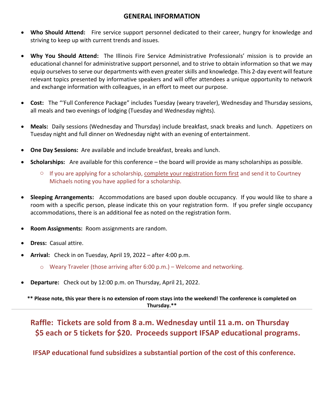## **GENERAL INFORMATION**

- **Who Should Attend:** Fire service support personnel dedicated to their career, hungry for knowledge and striving to keep up with current trends and issues.
- **Why You Should Attend:** The Illinois Fire Service Administrative Professionals' mission is to provide an educational channel for administrative support personnel, and to strive to obtain information so that we may equip ourselves to serve our departments with even greater skills and knowledge. This 2-day event will feature relevant topics presented by informative speakers and will offer attendees a unique opportunity to network and exchange information with colleagues, in an effort to meet our purpose.
- **Cost:** The "'Full Conference Package" includes Tuesday (weary traveler), Wednesday and Thursday sessions, all meals and two evenings of lodging (Tuesday and Wednesday nights).
- **Meals:** Daily sessions (Wednesday and Thursday) include breakfast, snack breaks and lunch. Appetizers on Tuesday night and full dinner on Wednesday night with an evening of entertainment.
- **One Day Sessions:** Are available and include breakfast, breaks and lunch.
- **Scholarships:** Are available for this conference the board will provide as many scholarships as possible.
	- $\circ$  If you are applying for a scholarship, complete your registration form first and send it to Courtney Michaels noting you have applied for a scholarship.
- **Sleeping Arrangements:** Accommodations are based upon double occupancy. If you would like to share a room with a specific person, please indicate this on your registration form. If you prefer single occupancy accommodations, there is an additional fee as noted on the registration form.
- **Room Assignments:** Room assignments are random.
- **Dress:** Casual attire.
- **Arrival:** Check in on Tuesday, April 19, 2022 after 4:00 p.m.
	- $\circ$  Weary Traveler (those arriving after 6:00 p.m.) Welcome and networking.
- **Departure:** Check out by 12:00 p.m. on Thursday, April 21, 2022.

**\*\* Please note, this year there is no extension of room stays into the weekend! The conference is completed on Thursday.\*\***

**Raffle: Tickets are sold from 8 a.m. Wednesday until 11 a.m. on Thursday \$5 each or 5 tickets for \$20. Proceeds support IFSAP educational programs.**

**IFSAP educational fund subsidizes a substantial portion of the cost of this conference.**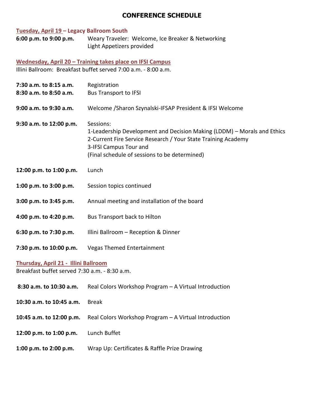## **CONFERENCE SCHEDULE**

## **Tuesday, April 19 – Legacy Ballroom South**

**6:00 p.m. to 9:00 p.m.** Weary Traveler: Welcome, Ice Breaker & Networking Light Appetizers provided

**Wednesday, April 20 – Training takes place on IFSI Campus** Illini Ballroom: Breakfast buffet served 7:00 a.m. - 8:00 a.m.

| 7:30 a.m. to 8:15 a.m.<br>8:30 a.m. to 8:50 a.m.                                      | Registration<br><b>Bus Transport to IFSI</b>                                                                                                                                                                                     |  |
|---------------------------------------------------------------------------------------|----------------------------------------------------------------------------------------------------------------------------------------------------------------------------------------------------------------------------------|--|
| 9:00 a.m. to 9:30 a.m.                                                                | Welcome /Sharon Szynalski-IFSAP President & IFSI Welcome                                                                                                                                                                         |  |
| 9:30 a.m. to 12:00 p.m.                                                               | Sessions:<br>1-Leadership Development and Decision Making (LDDM) - Morals and Ethics<br>2-Current Fire Service Research / Your State Training Academy<br>3-IFSI Campus Tour and<br>(Final schedule of sessions to be determined) |  |
| 12:00 p.m. to 1:00 p.m.                                                               | Lunch                                                                                                                                                                                                                            |  |
| 1:00 p.m. to 3:00 p.m.                                                                | Session topics continued                                                                                                                                                                                                         |  |
| 3:00 p.m. to 3:45 p.m.                                                                | Annual meeting and installation of the board                                                                                                                                                                                     |  |
| 4:00 p.m. to 4:20 p.m.                                                                | Bus Transport back to Hilton                                                                                                                                                                                                     |  |
| 6:30 p.m. to 7:30 p.m.                                                                | Illini Ballroom - Reception & Dinner                                                                                                                                                                                             |  |
| 7:30 p.m. to 10:00 p.m.                                                               | <b>Vegas Themed Entertainment</b>                                                                                                                                                                                                |  |
| Thursday, April 21 - Illini Ballroom<br>Breakfast buffet served 7:30 a.m. - 8:30 a.m. |                                                                                                                                                                                                                                  |  |
| 8:30 a.m. to 10:30 a.m.                                                               | Real Colors Workshop Program - A Virtual Introduction                                                                                                                                                                            |  |
| 10:30 a.m. to 10:45 a.m.                                                              | <b>Break</b>                                                                                                                                                                                                                     |  |
| 10:45 a.m. to 12:00 p.m.                                                              | Real Colors Workshop Program - A Virtual Introduction                                                                                                                                                                            |  |
| 12:00 p.m. to 1:00 p.m.                                                               | Lunch Buffet                                                                                                                                                                                                                     |  |
| 1:00 p.m. to 2:00 p.m.                                                                | Wrap Up: Certificates & Raffle Prize Drawing                                                                                                                                                                                     |  |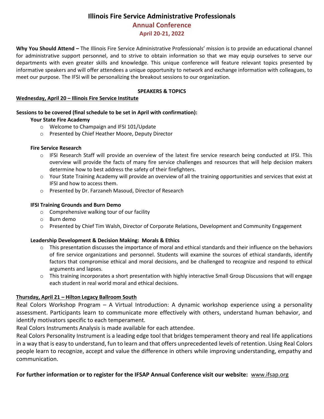## **Illinois Fire Service Administrative Professionals**

## **Annual Conference**

**April 20-21, 2022**

**Why You Should Attend –** The Illinois Fire Service Administrative Professionals' mission is to provide an educational channel for administrative support personnel, and to strive to obtain information so that we may equip ourselves to serve our departments with even greater skills and knowledge. This unique conference will feature relevant topics presented by informative speakers and will offer attendees a unique opportunity to network and exchange information with colleagues, to meet our purpose. The IFSI will be personalizing the breakout sessions to our organization.

#### **SPEAKERS & TOPICS**

#### **Wednesday, April 20 – Illinois Fire Service Institute**

#### **Sessions to be covered (final schedule to be set in April with confirmation):**

#### **Your State Fire Academy**

- o Welcome to Champaign and IFSI 101/Update
- o Presented by Chief Heather Moore, Deputy Director

#### **Fire Service Research**

- o IFSI Research Staff will provide an overview of the latest fire service research being conducted at IFSI. This overview will provide the facts of many fire service challenges and resources that will help decision makers determine how to best address the safety of their firefighters.
- o Your State Training Academy will provide an overview of all the training opportunities and services that exist at IFSI and how to access them.
- o Presented by Dr. Farzaneh Masoud, Director of Research

#### **IFSI Training Grounds and Burn Demo**

- o Comprehensive walking tour of our facility
- o Burn demo
- o Presented by Chief Tim Walsh, Director of Corporate Relations, Development and Community Engagement

#### **Leadership Development & Decision Making: Morals & Ethics**

- o This presentation discusses the importance of moral and ethical standards and their influence on the behaviors of fire service organizations and personnel. Students will examine the sources of ethical standards, identify factors that compromise ethical and moral decisions, and be challenged to recognize and respond to ethical arguments and lapses.
- o This training incorporates a short presentation with highly interactive Small Group Discussions that will engage each student in real world moral and ethical decisions.

#### **Thursday, April 21 – Hilton Legacy Ballroom South**

Real Colors Workshop Program – A Virtual Introduction: A dynamic workshop experience using a personality assessment. Participants learn to communicate more effectively with others, understand human behavior, and identify motivators specific to each temperament.

Real Colors Instruments Analysis is made available for each attendee.

Real Colors Personality Instrument is a leading edge tool that bridges temperament theory and real life applications in a way that is easy to understand, fun to learn and that offers unprecedented levels of retention. Using Real Colors people learn to recognize, accept and value the difference in others while improving understanding, empathy and communication.

#### **For further information or to register for the IFSAP Annual Conference visit our website:** [www.ifsap.org](http://www.ifsap.org/)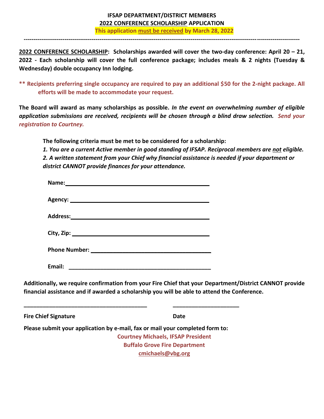### **IFSAP DEPARTMENT/DISTRICT MEMBERS 2022 CONFERENCE SCHOLARSHIP APPLICATION**

**This application must be received by March 28, 2022**

**2022 CONFERENCE SCHOLARSHIP: Scholarships awarded will cover the two-day conference: April 20 – 21, 2022 - Each scholarship will cover the full conference package; includes meals & 2 nights (Tuesday & Wednesday) double occupancy Inn lodging.**

**----------------------------------------------------------------------------------------------------------------------------------------------**

**\*\* Recipients preferring single occupancy are required to pay an additional \$50 for the 2-night package. All efforts will be made to accommodate your request.** 

**The Board will award as many scholarships as possible.** *In the event an overwhelming number of eligible application submissions are received, recipients will be chosen through a blind draw selection. Send your registration to Courtney.* 

**The following criteria must be met to be considered for a scholarship:**

*1. You are a current Active member in good standing of IFSAP. Reciprocal members are not eligible. 2. A written statement from your Chief why financial assistance is needed if your department or district CANNOT provide finances for your attendance.*

| Name: Name and the second contract of the second contract of the second contract of the second contract of the second contract of the second contract of the second contract of the second contract of the second contract of                                                   |                                           |  |
|---------------------------------------------------------------------------------------------------------------------------------------------------------------------------------------------------------------------------------------------------------------------------------|-------------------------------------------|--|
|                                                                                                                                                                                                                                                                                 |                                           |  |
|                                                                                                                                                                                                                                                                                 |                                           |  |
|                                                                                                                                                                                                                                                                                 |                                           |  |
|                                                                                                                                                                                                                                                                                 |                                           |  |
|                                                                                                                                                                                                                                                                                 |                                           |  |
| Additionally, we require confirmation from your Fire Chief that your Department/District CANNOT provide<br>financial assistance and if awarded a scholarship you will be able to attend the Conference.<br><u> 1980 - Johann Barn, mars an t-Amerikaansk politiker (* 1918)</u> |                                           |  |
| <b>Fire Chief Signature</b>                                                                                                                                                                                                                                                     | <b>Date</b>                               |  |
| Please submit your application by e-mail, fax or mail your completed form to:                                                                                                                                                                                                   |                                           |  |
|                                                                                                                                                                                                                                                                                 | <b>Courtney Michaels, IFSAP President</b> |  |
|                                                                                                                                                                                                                                                                                 | <b>Buffalo Grove Fire Department</b>      |  |
|                                                                                                                                                                                                                                                                                 | cmichaels@vbg.org                         |  |